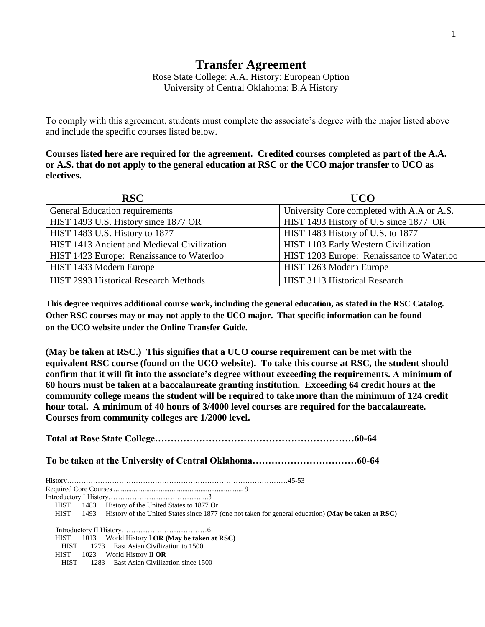## **Transfer Agreement**

Rose State College: A.A. History: European Option University of Central Oklahoma: B.A History

To comply with this agreement, students must complete the associate's degree with the major listed above and include the specific courses listed below.

**Courses listed here are required for the agreement. Credited courses completed as part of the A.A. or A.S. that do not apply to the general education at RSC or the UCO major transfer to UCO as electives.**

| <b>RSC</b>                                   | <b>UCO</b>                                 |
|----------------------------------------------|--------------------------------------------|
| General Education requirements               | University Core completed with A.A or A.S. |
| HIST 1493 U.S. History since 1877 OR         | HIST 1493 History of U.S since 1877 OR     |
| HIST 1483 U.S. History to 1877               | HIST 1483 History of U.S. to 1877          |
| HIST 1413 Ancient and Medieval Civilization  | HIST 1103 Early Western Civilization       |
| HIST 1423 Europe: Renaissance to Waterloo    | HIST 1203 Europe: Renaissance to Waterloo  |
| HIST 1433 Modern Europe                      | HIST 1263 Modern Europe                    |
| <b>HIST 2993 Historical Research Methods</b> | HIST 3113 Historical Research              |

**This degree requires additional course work, including the general education, as stated in the RSC Catalog. Other RSC courses may or may not apply to the UCO major. That specific information can be found on the UCO website under the Online Transfer Guide.**

**(May be taken at RSC.) This signifies that a UCO course requirement can be met with the equivalent RSC course (found on the UCO website). To take this course at RSC, the student should confirm that it will fit into the associate's degree without exceeding the requirements. A minimum of 60 hours must be taken at a baccalaureate granting institution. Exceeding 64 credit hours at the community college means the student will be required to take more than the minimum of 124 credit hour total. A minimum of 40 hours of 3/4000 level courses are required for the baccalaureate. Courses from community colleges are 1/2000 level.**

**Total at Rose State College………………………………………………………60-64 To be taken at the University of Central Oklahoma……………………………60-64** History…………………………………………………………………………………45-53 Required Core Courses ........................................................................ 9 Introductory I History…………………………………....3 HIST 1483 History of the United States to 1877 Or HIST 1493 History of the United States since 1877 (one not taken for general education) **(May be taken at RSC)** Introductory II History………………………………6 HIST 1013 World History I **OR (May be taken at RSC)** HIST 1273 East Asian Civilization to 1500 HIST 1023 World History II **OR** HIST 1283 East Asian Civilization since 1500